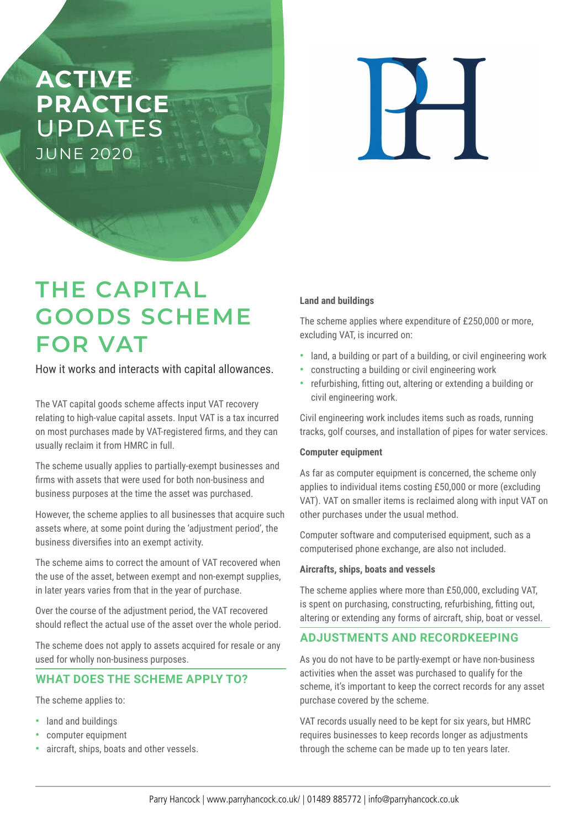# **ACTIVE PRACTICE**  UPDATES JUNE 2020

 $\overline{\mathbf{H}}$ 

# **THE CAPITAL GOODS SCHEME FOR VAT**

How it works and interacts with capital allowances.

The VAT capital goods scheme affects input VAT recovery relating to high-value capital assets. Input VAT is a tax incurred on most purchases made by VAT-registered firms, and they can usually reclaim it from HMRC in full.

The scheme usually applies to partially-exempt businesses and firms with assets that were used for both non-business and business purposes at the time the asset was purchased.

However, the scheme applies to all businesses that acquire such assets where, at some point during the 'adjustment period', the business diversifies into an exempt activity.

The scheme aims to correct the amount of VAT recovered when the use of the asset, between exempt and non-exempt supplies, in later years varies from that in the year of purchase.

Over the course of the adjustment period, the VAT recovered should reflect the actual use of the asset over the whole period.

The scheme does not apply to assets acquired for resale or any used for wholly non-business purposes.

# **WHAT DOES THE SCHEME APPLY TO?**

The scheme applies to:

- **•** land and buildings
- **•** computer equipment
- **•** aircraft, ships, boats and other vessels.

#### **Land and buildings**

The scheme applies where expenditure of £250,000 or more, excluding VAT, is incurred on:

- **•** land, a building or part of a building, or civil engineering work
- **•** constructing a building or civil engineering work
- **•** refurbishing, fitting out, altering or extending a building or civil engineering work.

Civil engineering work includes items such as roads, running tracks, golf courses, and installation of pipes for water services.

#### **Computer equipment**

As far as computer equipment is concerned, the scheme only applies to individual items costing £50,000 or more (excluding VAT). VAT on smaller items is reclaimed along with input VAT on other purchases under the usual method.

Computer software and computerised equipment, such as a computerised phone exchange, are also not included.

#### **Aircrafts, ships, boats and vessels**

The scheme applies where more than £50,000, excluding VAT, is spent on purchasing, constructing, refurbishing, fitting out, altering or extending any forms of aircraft, ship, boat or vessel.

# **ADJUSTMENTS AND RECORDKEEPING**

As you do not have to be partly-exempt or have non-business activities when the asset was purchased to qualify for the scheme, it's important to keep the correct records for any asset purchase covered by the scheme.

VAT records usually need to be kept for six years, but HMRC requires businesses to keep records longer as adjustments through the scheme can be made up to ten years later.